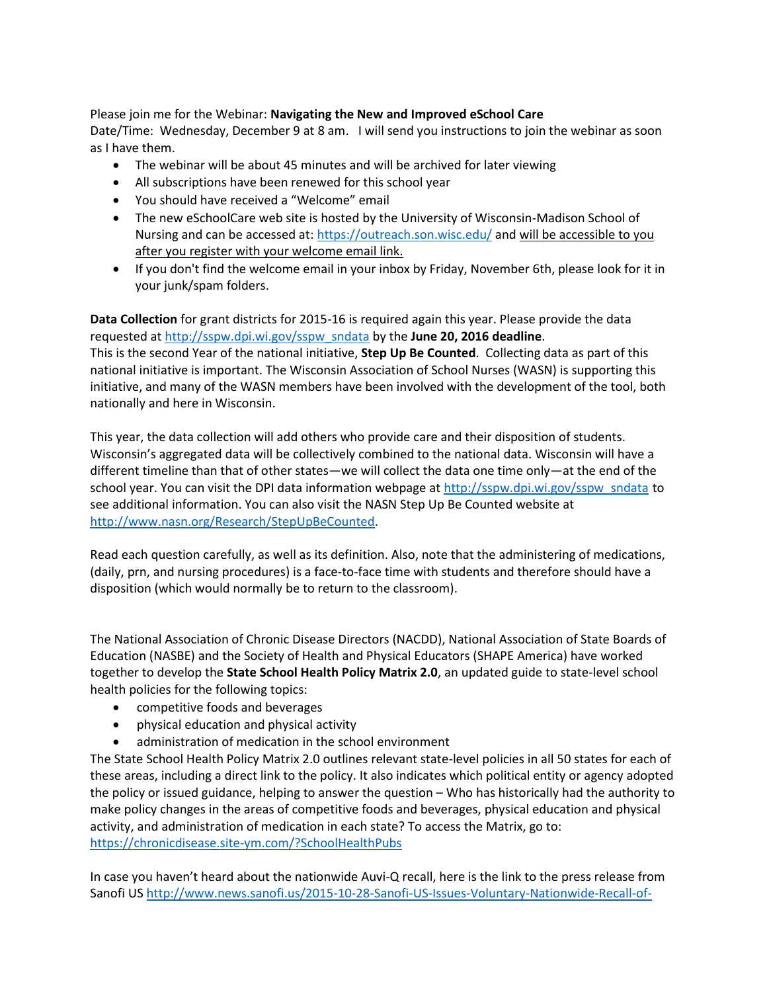Please join me for the Webinar: **Navigating the New and Improved eSchool Care** Date/Time: Wednesday, December 9 at 8 am. I will send you instructions to join the webinar as soon as I have them.

- The webinar will be about 45 minutes and will be archived for later viewing
- All subscriptions have been renewed for this school year
- You should have received a "Welcome" email
- The new eSchoolCare web site is hosted by the University of Wisconsin-Madison School of Nursing and can be accessed at:<https://outreach.son.wisc.edu/>and will be accessible to you after you register with your welcome email link.
- If you don't find the welcome email in your inbox by Friday, November 6th, please look for it in your junk/spam folders.

**Data Collection** for grant districts for 2015-16 is required again this year. Please provide the data requested a[t http://sspw.dpi.wi.gov/sspw\\_sndata](http://sspw.dpi.wi.gov/sspw_sndata) by the **June 20, 2016 deadline**. This is the second Year of the national initiative, **Step Up Be Counted**. Collecting data as part of this national initiative is important. The Wisconsin Association of School Nurses (WASN) is supporting this initiative, and many of the WASN members have been involved with the development of the tool, both nationally and here in Wisconsin.

This year, the data collection will add others who provide care and their disposition of students. Wisconsin's aggregated data will be collectively combined to the national data. Wisconsin will have a different timeline than that of other states—we will collect the data one time only—at the end of the school year. You can visit the DPI data information webpage at [http://sspw.dpi.wi.gov/sspw\\_sndata](http://sspw.dpi.wi.gov/sspw_sndata) to see additional information. You can also visit the NASN Step Up Be Counted website at [http://www.nasn.org/Research/StepUpBeCounted.](http://www.nasn.org/Research/StepUpBeCounted)

Read each question carefully, as well as its definition. Also, note that the administering of medications, (daily, prn, and nursing procedures) is a face-to-face time with students and therefore should have a disposition (which would normally be to return to the classroom).

The National Association of Chronic Disease Directors (NACDD), National Association of State Boards of Education (NASBE) and the Society of Health and Physical Educators (SHAPE America) have worked together to develop the **State School Health Policy Matrix 2.0**, an updated guide to state-level school health policies for the following topics:

- competitive foods and beverages
- physical education and physical activity
- administration of medication in the school environment

The State School Health Policy Matrix 2.0 outlines relevant state-level policies in all 50 states for each of these areas, including a direct link to the policy. It also indicates which political entity or agency adopted the policy or issued guidance, helping to answer the question – Who has historically had the authority to make policy changes in the areas of competitive foods and beverages, physical education and physical activity, and administration of medication in each state? To access the Matrix, go to: <https://chronicdisease.site-ym.com/?SchoolHealthPubs>

In case you haven't heard about the nationwide Auvi-Q recall, here is the link to the press release from Sanofi US [http://www.news.sanofi.us/2015-10-28-Sanofi-US-Issues-Voluntary-Nationwide-Recall-of-](http://www.news.sanofi.us/2015-10-28-Sanofi-US-Issues-Voluntary-Nationwide-Recall-of-Auvi-Q-Due-to-Potential-Inaccurate-Dosage-Delivery)